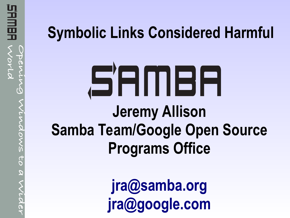# **Symbolic Links Considered Harmful**

# SAMBA **Jeremy Allison Samba Team/Google Open Source Programs Office**

**[jra@samba.org](mailto:jra@samba.org) [jra@google.com](mailto:jra@google.com)**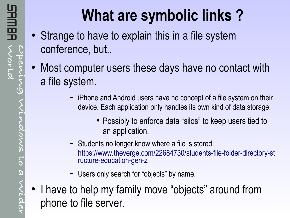# **What are symbolic links ?**

- Strange to have to explain this in a file system conference, but..
- Most computer users these days have no contact with a file system.
	- iPhone and Android users have no concept of a file system on their device. Each application only handles its own kind of data storage.
		- Possibly to enforce data "silos" to keep users tied to an application.
	- Students no longer know where a file is stored: [https://www.theverge.com/22684730/students-file-folder-directory-st](https://www.theverge.com/22684730/students-file-folder-directory-structure-education-gen-z) [ructure-education-gen-z](https://www.theverge.com/22684730/students-file-folder-directory-structure-education-gen-z)
	- Users only search for "objects" by name.
- I have to help my family move "objects" around from phone to file server.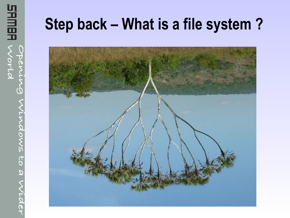# **Step back – What is a file system ?**

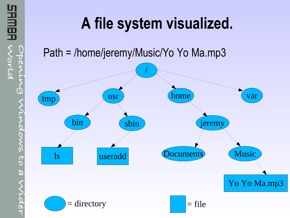

# **A file system visualized.**

Path = /home/jeremy/Music/Yo Yo Ma.mp3

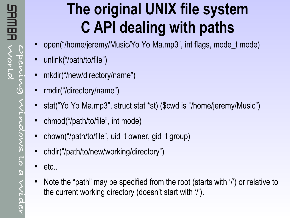# **The original UNIX file system C API dealing with paths**

- open("/home/jeremy/Music/Yo Yo Ma.mp3", int flags, mode\_t mode)
- unlink("/path/to/file")
- mkdir("/new/directory/name")
- rmdir("/directory/name")
- stat("Yo Yo Ma.mp3", struct stat \*st) (\$cwd is "/home/jeremy/Music")
- chmod("/path/to/file", int mode)
- chown("/path/to/file", uid\_t owner, gid\_t group)
- chdir("/path/to/new/working/directory")
- etc..
- Note the "path" may be specified from the root (starts with '/') or relative to the current working directory (doesn't start with '/').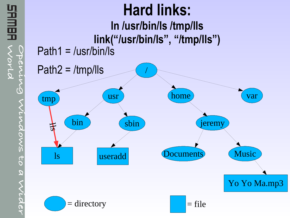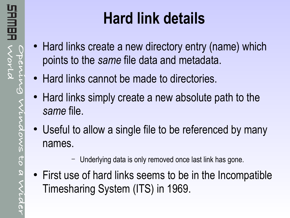# **Hard link details**

- Hard links create a new directory entry (name) which points to the *same* file data and metadata.
- Hard links cannot be made to directories.
- Hard links simply create a new absolute path to the *same* file.
- Useful to allow a single file to be referenced by many names.
	- Underlying data is only removed once last link has gone.
- First use of hard links seems to be in the Incompatible Timesharing System (ITS) in 1969.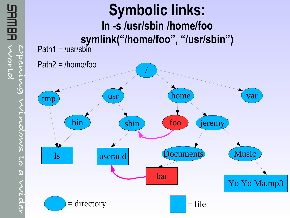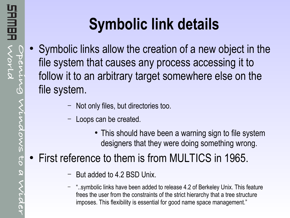# **Symbolic link details**

- Symbolic links allow the creation of a new object in the file system that causes any process accessing it to follow it to an arbitrary target somewhere else on the file system.
	- Not only files, but directories too.
	- Loops can be created.
		- This should have been a warning sign to file system designers that they were doing something wrong.

### First reference to them is from MULTICS in 1965.

- But added to 4.2 BSD Unix.
- "..symbolic links have been added to release 4.2 of Berkeley Unix. This feature frees the user from the constraints of the strict hierarchy that a tree structure imposes. This flexibility is essential for good name space management."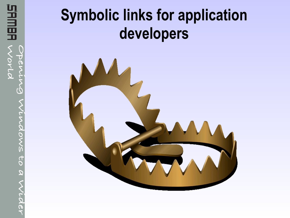# **Symbolic links for application developers**

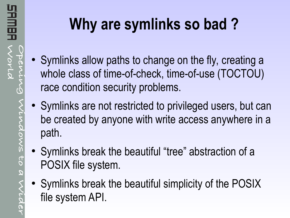# **Why are symlinks so bad ?**

- Symlinks allow paths to change on the fly, creating a whole class of time-of-check, time-of-use (TOCTOU) race condition security problems.
- Symlinks are not restricted to privileged users, but can be created by anyone with write access anywhere in a path.
- Symlinks break the beautiful "tree" abstraction of a POSIX file system.
- Symlinks break the beautiful simplicity of the POSIX file system API.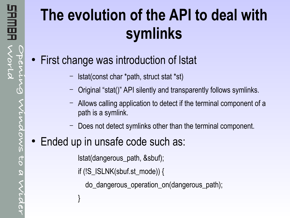# **The evolution of the API to deal with symlinks**

- First change was introduction of Istat
	- lstat(const char \*path, struct stat \*st)
	- Original "stat()" API silently and transparently follows symlinks.
	- Allows calling application to detect if the terminal component of a path is a symlink.
	- Does not detect symlinks other than the terminal component.

#### • Ended up in unsafe code such as:

}

lstat(dangerous\_path, &sbuf);

if (!S\_ISLNK(sbuf.st\_mode)) {

do\_dangerous\_operation\_on(dangerous\_path);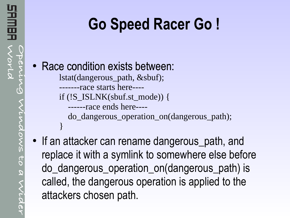}

# **Go Speed Racer Go !**

### • Race condition exists between:

lstat(dangerous\_path, &sbuf);

-------race starts here----

if (!S\_ISLNK(sbuf.st\_mode)) {

------race ends here----

do\_dangerous\_operation\_on(dangerous\_path);

• If an attacker can rename dangerous\_path, and replace it with a symlink to somewhere else before do\_dangerous\_operation\_on(dangerous\_path) is called, the dangerous operation is applied to the attackers chosen path.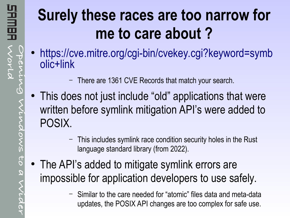# **Surely these races are too narrow for me to care about ?**

- [https://cve.mitre.org/cgi-bin/cvekey.cgi?keyword=symb](https://cve.mitre.org/cgi-bin/cvekey.cgi?keyword=symbolic+link) [olic+link](https://cve.mitre.org/cgi-bin/cvekey.cgi?keyword=symbolic+link)
	- There are 1361 CVE Records that match your search.
- This does not just include "old" applications that were written before symlink mitigation API's were added to POSIX.
	- This includes symlink race condition security holes in the Rust language standard library (from 2022).
- The API's added to mitigate symlink errors are impossible for application developers to use safely.
	- Similar to the care needed for "atomic" files data and meta-data updates, the POSIX API changes are too complex for safe use.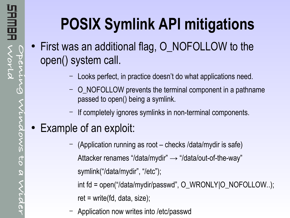# **POSIX Symlink API mitigations**

- First was an additional flag, O\_NOFOLLOW to the open() system call.
	- Looks perfect, in practice doesn't do what applications need.
	- O\_NOFOLLOW prevents the terminal component in a pathname passed to open() being a symlink.
	- If completely ignores symlinks in non-terminal components.

### • Example of an exploit:

- (Application running as root checks /data/mydir is safe) Attacker renames "/data/mydir"  $\rightarrow$  "/data/out-of-the-way" symlink("/data/mydir", "/etc");
	- int fd = open("/data/mydir/passwd", O\_WRONLY|O\_NOFOLLOW..);
	- $ret = write(fd, data, size);$
- Application now writes into /etc/passwd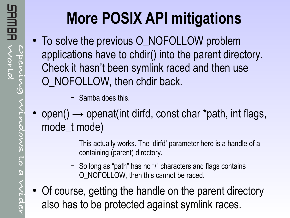# **More POSIX API mitigations**

- To solve the previous O\_NOFOLLOW problem applications have to chdir() into the parent directory. Check it hasn't been symlink raced and then use O\_NOFOLLOW, then chdir back.
	- Samba does this.
- open()  $\rightarrow$  openat(int dirfd, const char \*path, int flags, mode t mode)
	- This actually works. The 'dirfd' parameter here is a handle of a containing (parent) directory.
	- So long as "path" has no "/" characters and flags contains O\_NOFOLLOW, then this cannot be raced.
- Of course, getting the handle on the parent directory also has to be protected against symlink races.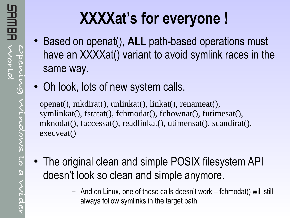# **XXXXat's for everyone !**

- Based on openat(), **ALL** path-based operations must have an XXXXat() variant to avoid symlink races in the same way.
- Oh look, lots of new system calls.

openat(), mkdirat(), unlinkat(), linkat(), renameat(), symlinkat(), fstatat(), fchmodat(), fchownat(), futimesat(), mknodat(), faccessat(), readlinkat(), utimensat(), scandirat(), execveat()

- The original clean and simple POSIX filesystem API doesn't look so clean and simple anymore.
	- And on Linux, one of these calls doesn't work fchmodat() will still always follow symlinks in the target path.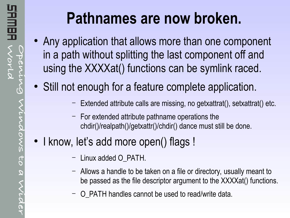# **Pathnames are now broken.**

- Any application that allows more than one component in a path without splitting the last component off and using the XXXXat() functions can be symlink raced.
- Still not enough for a feature complete application.
	- Extended attribute calls are missing, no getxattrat(), setxattrat() etc.
	- For extended attribute pathname operations the chdir()/realpath()/getxattr()/chdir() dance must still be done.

### • I know, let's add more open() flags !

- Linux added O\_PATH.
- Allows a handle to be taken on a file or directory, usually meant to be passed as the file descriptor argument to the XXXXat() functions.
- O\_PATH handles cannot be used to read/write data.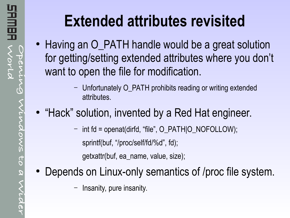# **Extended attributes revisited**

- Having an O PATH handle would be a great solution for getting/setting extended attributes where you don't want to open the file for modification.
	- Unfortunately O\_PATH prohibits reading or writing extended attributes.
- "Hack" solution, invented by a Red Hat engineer.
	- int fd = openat(dirfd, "file", O\_PATH|O\_NOFOLLOW); sprintf(buf, "/proc/self/fd/%d", fd);

getxattr(buf, ea\_name, value, size);

- Depends on Linux-only semantics of /proc file system.
	- Insanity, pure insanity.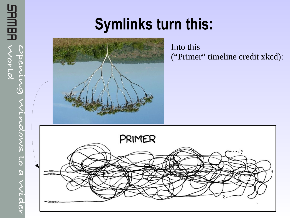# **Symlinks turn this:**



**Opening**

**World**

VOVLO

**SHMBA** 

**Windows**

**to**

**a**

**Wider**

Into this ("Primer" timeline credit xkcd):

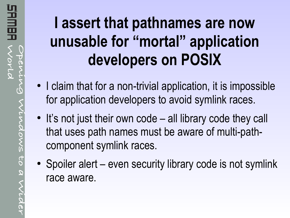# **I assert that pathnames are now unusable for "mortal" application developers on POSIX**

- I claim that for a non-trivial application, it is impossible for application developers to avoid symlink races.
- It's not just their own code all library code they call that uses path names must be aware of multi-pathcomponent symlink races.
- Spoiler alert even security library code is not symlink race aware.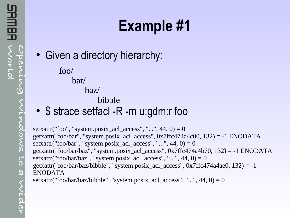# **Example #1**

• Given a directory hierarchy:

foo/ bar/

baz/ baz/

bibble

• \$ strace setfacl -R -m u:gdm:r foo

setxattr("foo", "system.posix\_acl\_access", "...",  $44$ ,  $0$ ) = 0 getxattr("foo/bar", "system.posix\_acl\_access", 0x7ffc474a4c00, 132) = -1 ENODATA setxattr("foo/bar", "system.posix\_acl\_access", "...", 44,  $0$ ) = 0 getxattr("foo/bar/baz", "system.posix\_acl\_access", 0x7ffc474a4b70, 132) = -1 ENODATA setxattr("foo/bar/baz", "system.posix\_acl\_access", "...",  $44$ ,  $0$ ) = 0 getxattr("foo/bar/baz/bibble", "system.posix\_acl\_access", 0x7ffc474a4ae0, 132) = -1 ENODATA setxattr("foo/bar/baz/bibble", "system.posix\_acl\_access", "...", 44, 0) = 0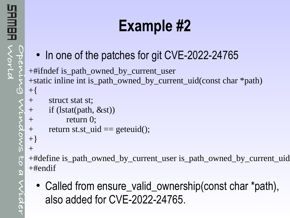# **Example #2**

• In one of the patches for git CVE-2022-24765

+#ifndef is\_path\_owned\_by\_current\_user +static inline int is\_path\_owned\_by\_current\_uid(const char \*path) +{

```
+ struct stat st;
+ if (lstat(path, &st))
```

```
+ return 0;
```

```
+ return st.st_uid == geteuid();
```

```
+}
+
```
+#define is\_path\_owned\_by\_current\_user is\_path\_owned\_by\_current\_uid +#endif

• Called from ensure\_valid\_ownership(const char \*path), also added for CVE-2022-24765.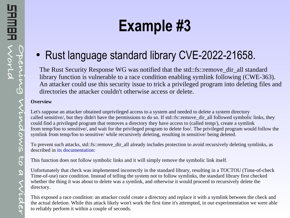### • Rust language standard library CVE-2022-21658.

The Rust Security Response WG was notified that the std::fs::remove\_dir\_all standard library function is vulnerable to a race condition enabling symlink following (CWE-363). An attacker could use this security issue to trick a privileged program into deleting files and directories the attacker couldn't otherwise access or delete.

#### **Overview**

Let's suppose an attacker obtained unprivileged access to a system and needed to delete a system directory called sensitive/, but they didn't have the permissions to do so. If std::fs::remove\_dir\_all followed symbolic links, they could find a privileged program that removes a directory they have access to (called temp/), create a symlink from temp/foo to sensitive/, and wait for the privileged program to delete foo/. The privileged program would follow the symlink from temp/foo to sensitive/ while recursively deleting, resulting in sensitive/ being deleted.

To prevent such attacks, std::fs::remove\_dir\_all already includes protection to avoid recursively deleting symlinks, as described in [its documentation](https://doc.rust-lang.org/std/fs/fn.remove_dir_all.html):

This function does not follow symbolic links and it will simply remove the symbolic link itself.

Unfortunately that check was implemented incorrectly in the standard library, resulting in a TOCTOU (Time-of-check Time-of-use) race condition. Instead of telling the system not to follow symlinks, the standard library first checked whether the thing it was about to delete was a symlink, and otherwise it would proceed to recursively delete the directory.

This exposed a race condition: an attacker could create a directory and replace it with a symlink between the check and the actual deletion. While this attack likely won't work the first time it's attempted, in our experimentation we were able to reliably perform it within a couple of seconds.

**o r**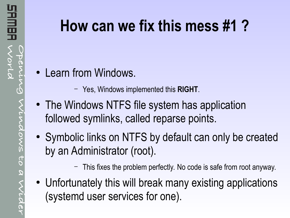# **How can we fix this mess #1 ?**

- Learn from Windows.
	- Yes, Windows implemented this **RIGHT**.
- The Windows NTFS file system has application followed symlinks, called reparse points.
- Symbolic links on NTFS by default can only be created by an Administrator (root).
	- This fixes the problem perfectly. No code is safe from root anyway.
- Unfortunately this will break many existing applications (systemd user services for one).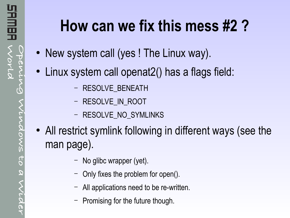# **How can we fix this mess #2 ?**

- New system call (yes ! The Linux way).
- Linux system call openat2() has a flags field:
	- RESOLVE\_BENEATH
	- RESOLVE IN ROOT
	- RESOLVE\_NO\_SYMLINKS
- All restrict symlink following in different ways (see the man page).
	- No glibc wrapper (yet).
	- Only fixes the problem for open().
	- All applications need to be re-written.
	- Promising for the future though.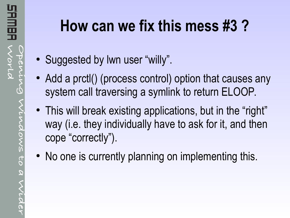## **How can we fix this mess #3 ?**

- Suggested by Iwn user "willy".
- Add a prctl() (process control) option that causes any system call traversing a symlink to return ELOOP.
- This will break existing applications, but in the "right" way (i.e. they individually have to ask for it, and then cope "correctly").
- No one is currently planning on implementing this.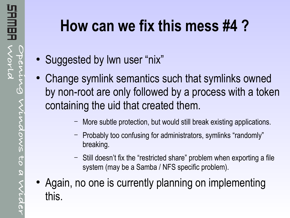# **How can we fix this mess #4 ?**

- Suggested by Iwn user "nix"
- Change symlink semantics such that symlinks owned by non-root are only followed by a process with a token containing the uid that created them.
	- More subtle protection, but would still break existing applications.
	- Probably too confusing for administrators, symlinks "randomly" breaking.
	- Still doesn't fix the "restricted share" problem when exporting a file system (may be a Samba / NFS specific problem).
- Again, no one is currently planning on implementing this.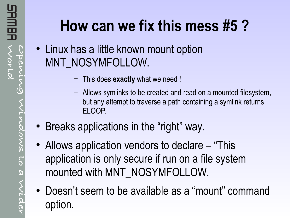# **How can we fix this mess #5 ?**

- Linux has a little known mount option MNT\_NOSYMFOLLOW.
	- This does **exactly** what we need !
	- Allows symlinks to be created and read on a mounted filesystem, but any attempt to traverse a path containing a symlink returns ELOOP.
- Breaks applications in the "right" way.
- Allows application vendors to declare "This application is only secure if run on a file system mounted with MNT\_NOSYMFOLLOW.
- Doesn't seem to be available as a "mount" command option.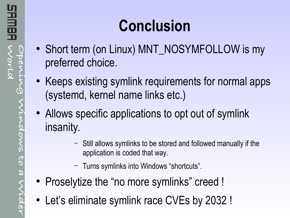- Short term (on Linux) MNT\_NOSYMFOLLOW is my preferred choice.
- Keeps existing symlink requirements for normal apps (systemd, kernel name links etc.)
- Allows specific applications to opt out of symlink insanity.
	- Still allows symlinks to be stored and followed manually if the application is coded that way.
	- Turns symlinks into Windows "shortcuts".
- Proselytize the "no more symlinks" creed !
- Let's eliminate symlink race CVEs by 2032 !